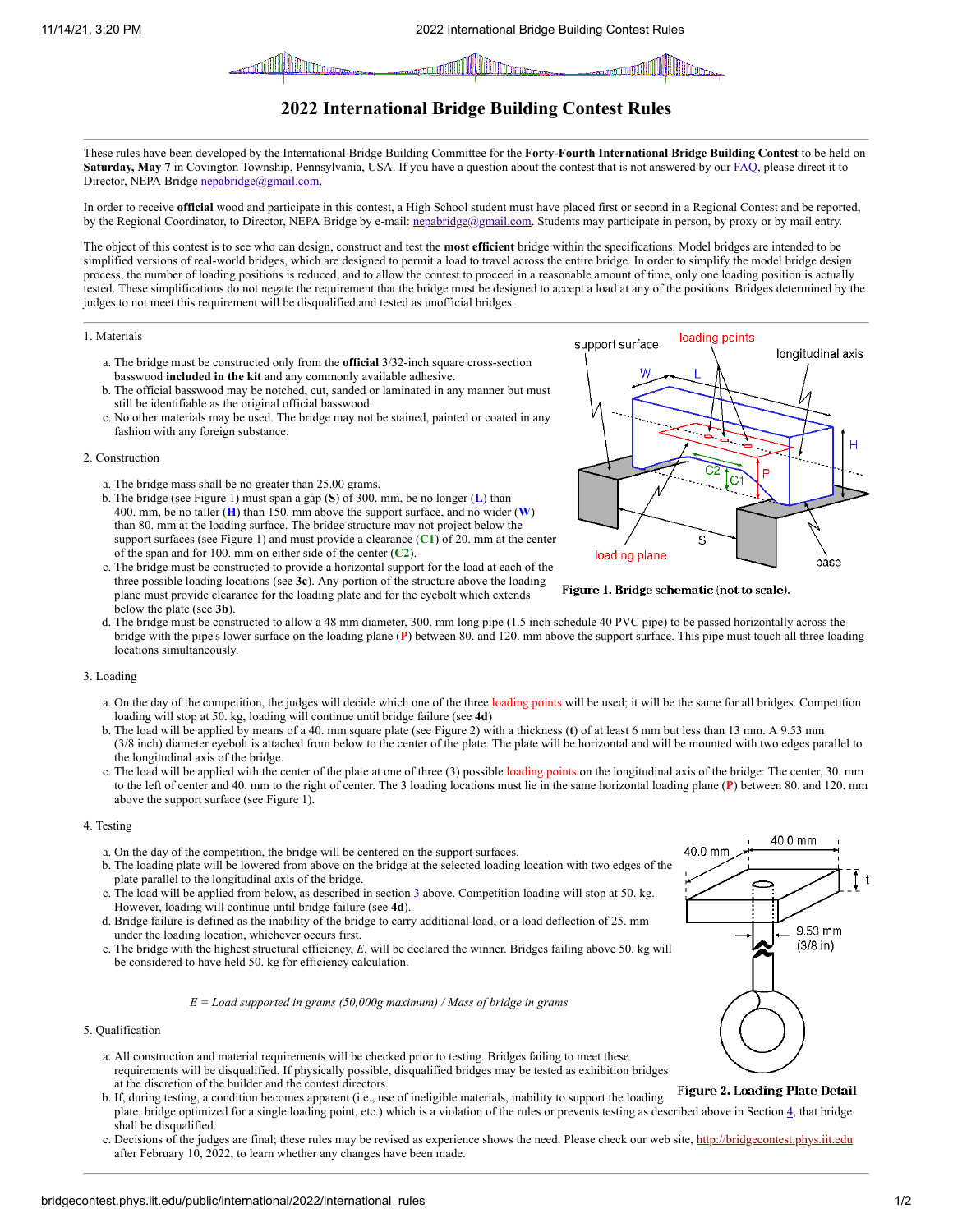

# **2022 International Bridge Building Contest Rules**

These rules have been developed by the International Bridge Building Committee for the **Forty-Fourth International Bridge Building Contest** to be held on **Saturday, May 7** in Covington Township, Pennsylvania, USA. If you have a question about the contest that is not answered by our [FAQ,](http://bridgecontest.phys.iit.edu/public/faq.php) please direct it to Director, NEPA Bridge [nepabridge@gmail.com](mailto:nepabridge@gmail.com).

In order to receive **official** wood and participate in this contest, a High School student must have placed first or second in a Regional Contest and be reported, by the Regional Coordinator, to Director, NEPA Bridge by e-mail: [nepabridge@gmail.com.](mailto:nepabridge@gmail.com) Students may participate in person, by proxy or by mail entry.

The object of this contest is to see who can design, construct and test the **most efficient** bridge within the specifications. Model bridges are intended to be simplified versions of real-world bridges, which are designed to permit a load to travel across the entire bridge. In order to simplify the model bridge design process, the number of loading positions is reduced, and to allow the contest to proceed in a reasonable amount of time, only one loading position is actually tested. These simplifications do not negate the requirement that the bridge must be designed to accept a load at any of the positions. Bridges determined by the judges to not meet this requirement will be disqualified and tested as unofficial bridges.

#### 1. Materials

- a. The bridge must be constructed only from the **official** 3/32-inch square cross-section basswood **included in the kit** and any commonly available adhesive.
- b. The official basswood may be notched, cut, sanded or laminated in any manner but must still be identifiable as the original official basswood.
- c. No other materials may be used. The bridge may not be stained, painted or coated in any fashion with any foreign substance.

#### 2. Construction

- a. The bridge mass shall be no greater than 25.00 grams.
- b. The bridge (see Figure 1) must span a gap (**S**) of 300. mm, be no longer (**L**) than 400. mm, be no taller (**H**) than 150. mm above the support surface, and no wider (**W**) than 80. mm at the loading surface. The bridge structure may not project below the support surfaces (see Figure 1) and must provide a clearance (**C1**) of 20. mm at the center of the span and for 100. mm on either side of the center (**C2**).
- c. The bridge must be constructed to provide a horizontal support for the load at each of the three possible loading locations (see **3c**). Any portion of the structure above the loading plane must provide clearance for the loading plate and for the eyebolt which extends below the plate (see **3b**).



Figure 1. Bridge schematic (not to scale).

d. The bridge must be constructed to allow a 48 mm diameter, 300. mm long pipe (1.5 inch schedule 40 PVC pipe) to be passed horizontally across the bridge with the pipe's lower surface on the loading plane (**P**) between 80. and 120. mm above the support surface. This pipe must touch all three loading locations simultaneously.

## <span id="page-0-0"></span>3. Loading

- a. On the day of the competition, the judges will decide which one of the three loading points will be used; it will be the same for all bridges. Competition loading will stop at 50. kg, loading will continue until bridge failure (see **4d**)
- b. The load will be applied by means of a 40. mm square plate (see Figure 2) with a thickness (**t**) of at least 6 mm but less than 13 mm. A 9.53 mm (3/8 inch) diameter eyebolt is attached from below to the center of the plate. The plate will be horizontal and will be mounted with two edges parallel to the longitudinal axis of the bridge.
- c. The load will be applied with the center of the plate at one of three (3) possible loading points on the longitudinal axis of the bridge: The center, 30. mm to the left of center and 40. mm to the right of center. The 3 loading locations must lie in the same horizontal loading plane (**P**) between 80. and 120. mm above the support surface (see Figure 1).

# <span id="page-0-1"></span>4. Testing

- a. On the day of the competition, the bridge will be centered on the support surfaces.
- b. The loading plate will be lowered from above on the bridge at the selected loading location with two edges of the plate parallel to the longitudinal axis of the bridge.
- c. The load will be applied from below, as described in section [3](#page-0-0) above. Competition loading will stop at 50. kg. However, loading will continue until bridge failure (see **4d**).
- d. Bridge failure is defined as the inability of the bridge to carry additional load, or a load deflection of 25. mm under the loading location, whichever occurs first.
- e. The bridge with the highest structural efficiency, *E*, will be declared the winner. Bridges failing above 50. kg will be considered to have held 50. kg for efficiency calculation.

## *E = Load supported in grams (50,000g maximum) / Mass of bridge in grams*

## 5. Qualification

- a. All construction and material requirements will be checked prior to testing. Bridges failing to meet these requirements will be disqualified. If physically possible, disqualified bridges may be tested as exhibition bridges at the discretion of the builder and the contest directors.
- Figure 2. Loading Plate Detail b. If, during testing, a condition becomes apparent (i.e., use of ineligible materials, inability to support the loading plate, bridge optimized for a single loading point, etc.) which is a violation of the rules or prevents testing as described above in Section [4](#page-0-1), that bridge shall be disqualified.
- c. Decisions of the judges are final; these rules may be revised as experience shows the need. Please check our web site, [http://bridgecontest.phys.iit.edu](http://bridgecontest.phys.iit.edu/) after February 10, 2022, to learn whether any changes have been made.